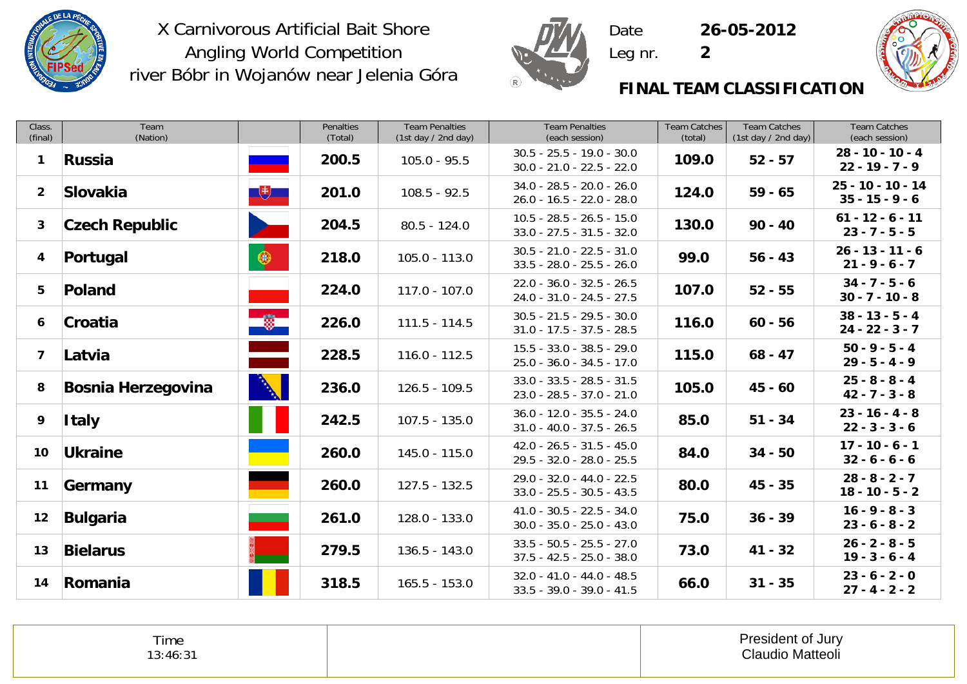



 DateLeg nr. **2**

**26-05-2012**



#### **FINAL TEAM CLASSIFICATION**

| Class.<br>(final) | Team<br>(Nation)          |               | <b>Penalties</b><br>(Total) | <b>Team Penalties</b><br>(1st day / 2nd day) | <b>Team Penalties</b><br>(each session)                    | <b>Team Catches</b><br>(total) | <b>Team Catches</b><br>(1st day / 2nd day) | <b>Team Catches</b><br>(each session)   |
|-------------------|---------------------------|---------------|-----------------------------|----------------------------------------------|------------------------------------------------------------|--------------------------------|--------------------------------------------|-----------------------------------------|
| $\mathbf{1}$      | Russia                    |               | 200.5                       | $105.0 - 95.5$                               | $30.5 - 25.5 - 19.0 - 30.0$<br>$30.0 - 21.0 - 22.5 - 22.0$ | 109.0                          | $52 - 57$                                  | $28 - 10 - 10 - 4$<br>$22 - 19 - 7 - 9$ |
| 2 <sup>1</sup>    | Slovakia                  | $+$           | 201.0                       | $108.5 - 92.5$                               | $34.0 - 28.5 - 20.0 - 26.0$<br>$26.0 - 16.5 - 22.0 - 28.0$ | 124.0                          | $59 - 65$                                  | 25 - 10 - 10 - 14<br>$35 - 15 - 9 - 6$  |
| 3                 | <b>Czech Republic</b>     |               | 204.5                       | $80.5 - 124.0$                               | $10.5 - 28.5 - 26.5 - 15.0$<br>$33.0 - 27.5 - 31.5 - 32.0$ | 130.0                          | $90 - 40$                                  | $61 - 12 - 6 - 11$<br>$23 - 7 - 5 - 5$  |
| 4                 | Portugal                  | $\circledast$ | 218.0                       | $105.0 - 113.0$                              | $30.5 - 21.0 - 22.5 - 31.0$<br>$33.5 - 28.0 - 25.5 - 26.0$ | 99.0                           | $56 - 43$                                  | $26 - 13 - 11 - 6$<br>$21 - 9 - 6 - 7$  |
| 5                 | Poland                    |               | 224.0                       | $117.0 - 107.0$                              | $22.0 - 36.0 - 32.5 - 26.5$<br>$24.0 - 31.0 - 24.5 - 27.5$ | 107.0                          | $52 - 55$                                  | $34 - 7 - 5 - 6$<br>$30 - 7 - 10 - 8$   |
| 6                 | Croatia                   | $\Rightarrow$ | 226.0                       | $111.5 - 114.5$                              | $30.5 - 21.5 - 29.5 - 30.0$<br>$31.0 - 17.5 - 37.5 - 28.5$ | 116.0                          | $60 - 56$                                  | $38 - 13 - 5 - 4$<br>$24 - 22 - 3 - 7$  |
| $\overline{ }$    | Latvia                    | $\triangle$   | 228.5                       | $116.0 - 112.5$                              | $15.5 - 33.0 - 38.5 - 29.0$<br>$25.0 - 36.0 - 34.5 - 17.0$ | 115.0                          | $68 - 47$                                  | $50 - 9 - 5 - 4$<br>$29 - 5 - 4 - 9$    |
| 8                 | <b>Bosnia Herzegovina</b> | $\mathbb{N}$  | 236.0                       | $126.5 - 109.5$                              | $33.0 - 33.5 - 28.5 - 31.5$<br>$23.0 - 28.5 - 37.0 - 21.0$ | 105.0                          | $45 - 60$                                  | $25 - 8 - 8 - 4$<br>$42 - 7 - 3 - 8$    |
| 9                 | <b>Italy</b>              |               | 242.5                       | $107.5 - 135.0$                              | $36.0 - 12.0 - 35.5 - 24.0$<br>$31.0 - 40.0 - 37.5 - 26.5$ | 85.0                           | $51 - 34$                                  | $23 - 16 - 4 - 8$<br>$22 - 3 - 3 - 6$   |
| 10 <sub>1</sub>   | <b>Ukraine</b>            |               | 260.0                       | $145.0 - 115.0$                              | $42.0 - 26.5 - 31.5 - 45.0$<br>29.5 - 32.0 - 28.0 - 25.5   | 84.0                           | $34 - 50$                                  | $17 - 10 - 6 - 1$<br>$32 - 6 - 6 - 6$   |
| 11                | Germany                   |               | 260.0                       | $127.5 - 132.5$                              | 29.0 - 32.0 - 44.0 - 22.5<br>$33.0 - 25.5 - 30.5 - 43.5$   | 80.0                           | $45 - 35$                                  | $28 - 8 - 2 - 7$<br>$18 - 10 - 5 - 2$   |
| 12                | Bulgaria                  |               | 261.0                       | 128.0 - 133.0                                | $41.0 - 30.5 - 22.5 - 34.0$<br>$30.0 - 35.0 - 25.0 - 43.0$ | 75.0                           | $36 - 39$                                  | $16 - 9 - 8 - 3$<br>$23 - 6 - 8 - 2$    |
| 13                | <b>Bielarus</b>           |               | 279.5                       | $136.5 - 143.0$                              | $33.5 - 50.5 - 25.5 - 27.0$<br>$37.5 - 42.5 - 25.0 - 38.0$ | 73.0                           | $41 - 32$                                  | $26 - 2 - 8 - 5$<br>$19 - 3 - 6 - 4$    |
| 14                | Romania                   |               | 318.5                       | $165.5 - 153.0$                              | $32.0 - 41.0 - 44.0 - 48.5$<br>$33.5 - 39.0 - 39.0 - 41.5$ | 66.0                           | $31 - 35$                                  | $23 - 6 - 2 - 0$<br>$27 - 4 - 2 - 2$    |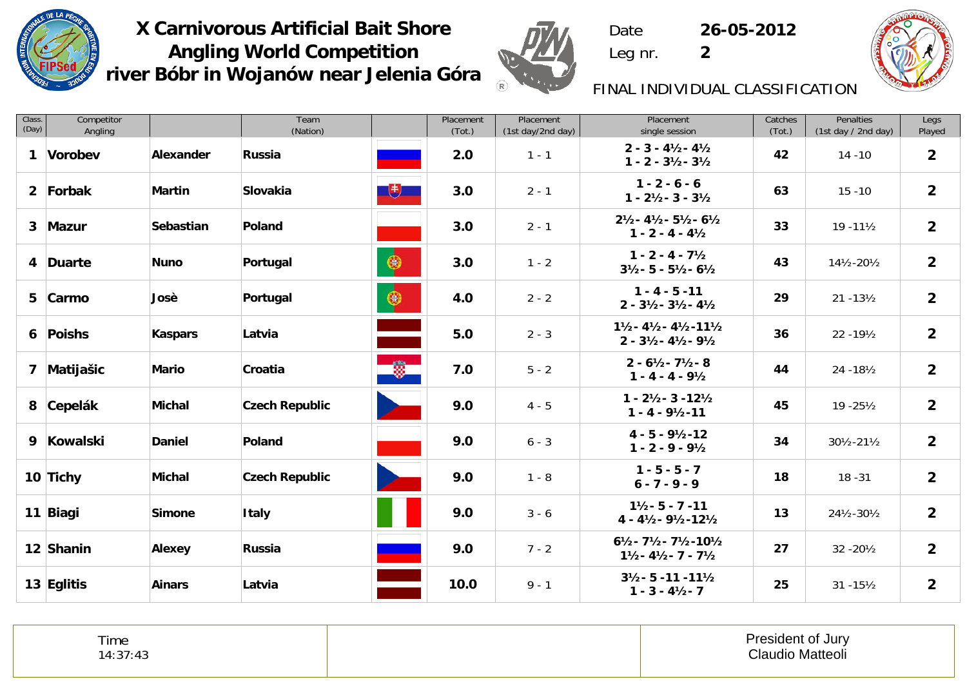



 DateLeg nr. **2**

**26-05-2012**



# FINAL INDIVIDUAL CLASSIFICATION

| Class.<br>(Day) | Competitor<br>Angling |               | Team<br>(Nation)      |                                   | Placement<br>(Tot.) | Placement<br>(1st day/2nd day) | Placement<br>single session                                                                                      | Catches<br>(Tot.) | Penalties<br>(1st day / 2nd day) | Legs<br>Played |
|-----------------|-----------------------|---------------|-----------------------|-----------------------------------|---------------------|--------------------------------|------------------------------------------------------------------------------------------------------------------|-------------------|----------------------------------|----------------|
| $\mathbf{1}$    | Vorobev               | Alexander     | Russia                |                                   | 2.0                 | $1 - 1$                        | $2 - 3 - 4\frac{1}{2} - 4\frac{1}{2}$<br>$1 - 2 - 3\frac{1}{2} - 3\frac{1}{2}$                                   | 42                | $14 - 10$                        | $\overline{2}$ |
|                 | 2 Forbak              | <b>Martin</b> | Slovakia              | $+$                               | 3.0                 | $2 - 1$                        | $1 - 2 - 6 - 6$<br>$1 - 2\frac{1}{2} - 3 - 3\frac{1}{2}$                                                         | 63                | $15 - 10$                        | $\overline{2}$ |
|                 | 3 Mazur               | Sebastian     | Poland                |                                   | 3.0                 | $2 - 1$                        | $2\frac{1}{2} - 4\frac{1}{2} - 5\frac{1}{2} - 6\frac{1}{2}$<br>$1 - 2 - 4 - 4\frac{1}{2}$                        | 33                | $19 - 11\frac{1}{2}$             | $\overline{2}$ |
|                 | 4 Duarte              | <b>Nuno</b>   | Portugal              | $\bigcirc$                        | 3.0                 | $1 - 2$                        | $1 - 2 - 4 - 7\frac{1}{2}$<br>$3\frac{1}{2} - 5 - 5\frac{1}{2} - 6\frac{1}{2}$                                   | 43                | 141/2-201/2                      | $\overline{2}$ |
|                 | 5 Carmo               | Josè          | Portugal              | $\bullet$                         | 4.0                 | $2 - 2$                        | $1 - 4 - 5 - 11$<br>$2 - 3\frac{1}{2} - 3\frac{1}{2} - 4\frac{1}{2}$                                             | 29                | $21 - 13\frac{1}{2}$             | $\overline{2}$ |
|                 | 6 Poishs              | Kaspars       | Latvia                | الكاتب<br>الأك                    | 5.0                 | $2 - 3$                        | $1\frac{1}{2} - 4\frac{1}{2} - 4\frac{1}{2} - 11\frac{1}{2}$<br>$2 - 3\frac{1}{2} - 4\frac{1}{2} - 9\frac{1}{2}$ | 36                | 22 - 191/2                       | $\overline{2}$ |
|                 | 7 Matijašic           | <b>Mario</b>  | Croatia               | $\bullet$                         | 7.0                 | $5 - 2$                        | $2 - 6\frac{1}{2} - 7\frac{1}{2} - 8$<br>$1 - 4 - 4 - 9\frac{1}{2}$                                              | 44                | 24 - 181/2                       | $\overline{2}$ |
|                 | 8 Cepelák             | <b>Michal</b> | <b>Czech Republic</b> | <b>Service</b>                    | 9.0                 | $4 - 5$                        | $1 - 2\frac{1}{2} - 3 - 12\frac{1}{2}$<br>$1 - 4 - 9\frac{1}{2} - 11$                                            | 45                | $19 - 25\frac{1}{2}$             | $\overline{2}$ |
|                 | 9 Kowalski            | <b>Daniel</b> | Poland                |                                   | 9.0                 | $6 - 3$                        | $4 - 5 - 9\frac{1}{2} - 12$<br>$1 - 2 - 9 - 9\frac{1}{2}$                                                        | 34                | 301⁄2-211⁄2                      | $\overline{2}$ |
|                 | 10 Tichy              | <b>Michal</b> | <b>Czech Republic</b> | <b>Contract Contract Contract</b> | 9.0                 | $1 - 8$                        | $1 - 5 - 5 - 7$<br>$6 - 7 - 9 - 9$                                                                               | 18                | $18 - 31$                        | $\overline{2}$ |
|                 | 11 Biagi              | <b>Simone</b> | <b>Italy</b>          |                                   | 9.0                 | $3 - 6$                        | $1\frac{1}{2} - 5 - 7 - 11$<br>$4 - 4\frac{1}{2} - 9\frac{1}{2} - 12\frac{1}{2}$                                 | 13                | 241/2-301/2                      | $\overline{2}$ |
|                 | 12 Shanin             | Alexey        | <b>Russia</b>         | -                                 | 9.0                 | $7 - 2$                        | $6\frac{1}{2} - 7\frac{1}{2} - 7\frac{1}{2} - 10\frac{1}{2}$<br>$1\frac{1}{2} - 4\frac{1}{2} - 7 - 7\frac{1}{2}$ | 27                | 32 - 201/2                       | $\overline{2}$ |
|                 | 13 Eglitis            | <b>Ainars</b> | Latvia                | ÷                                 | 10.0                | $9 - 1$                        | $3\frac{1}{2}$ - 5 - 11 - 11 $\frac{1}{2}$<br>$1 - 3 - 4\frac{1}{2} - 7$                                         | 25                | $31 - 15\frac{1}{2}$             | $\overline{2}$ |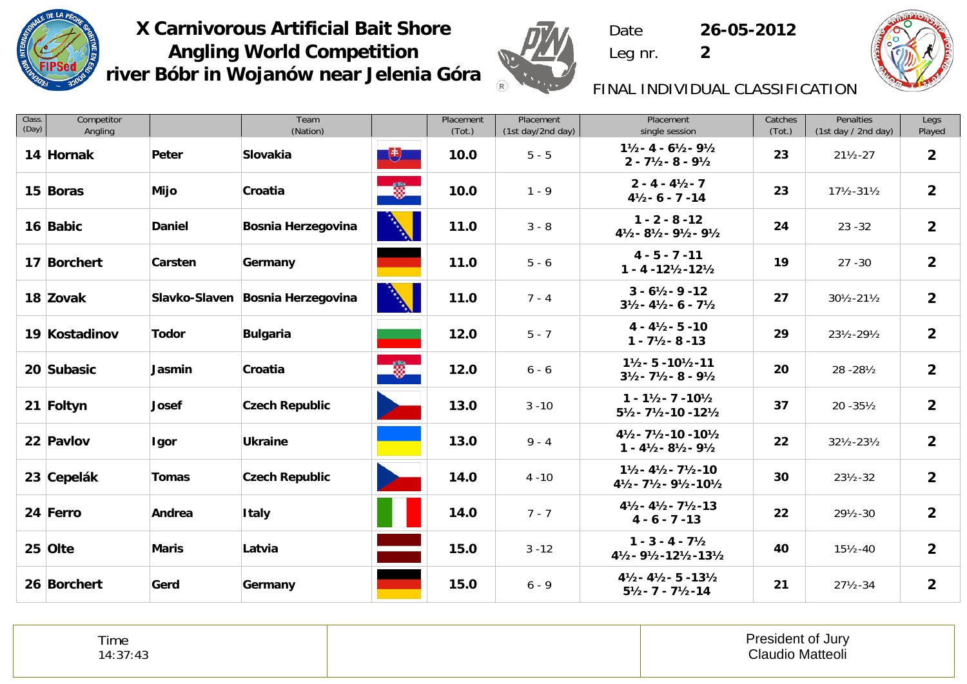



 Date **26-05-2012** Leg nr. **2**



# FINAL INDIVIDUAL CLASSIFICATION

| Class.<br>(Day) | Competitor<br>Angling |               | Team<br>(Nation)                 |                          | Placement<br>(Tot.) | Placement<br>(1st day/2nd day) | Placement<br>single session                                                                            | Catches<br>(Tot.) | Penalties<br>(1st day / 2nd day) | Legs<br>Played |
|-----------------|-----------------------|---------------|----------------------------------|--------------------------|---------------------|--------------------------------|--------------------------------------------------------------------------------------------------------|-------------------|----------------------------------|----------------|
|                 | 14 Hornak             | Peter         | Slovakia                         | $+$                      | 10.0                | $5 - 5$                        | $1\frac{1}{2} - 4 - 6\frac{1}{2} - 9\frac{1}{2}$<br>$2 - 7\frac{1}{2} - 8 - 9\frac{1}{2}$              | 23                | $21\frac{1}{2} - 27$             | $\overline{2}$ |
|                 | 15 Boras              | Mijo          | Croatia                          | <u>e Çe</u>              | 10.0                | $1 - 9$                        | $2 - 4 - 4\frac{1}{2} - 7$<br>$4\frac{1}{2} - 6 - 7 - 14$                                              | 23                | $17\frac{1}{2} - 31\frac{1}{2}$  | $\overline{2}$ |
|                 | 16 Babic              | <b>Daniel</b> | <b>Bosnia Herzegovina</b>        |                          | 11.0                | $3 - 8$                        | $1 - 2 - 8 - 12$<br>41/2-81/2-91/2-91/2                                                                | 24                | $23 - 32$                        | $\overline{2}$ |
|                 | 17 Borchert           | Carsten       | Germany                          |                          | 11.0                | $5 - 6$                        | $4 - 5 - 7 - 11$<br>$1 - 4 - 12\frac{1}{2} - 12\frac{1}{2}$                                            | 19                | $27 - 30$                        | $\overline{2}$ |
|                 | 18 Zovak              |               | Slavko-Slaven Bosnia Herzegovina |                          | 11.0                | $7 - 4$                        | $3 - 6\frac{1}{2} - 9 - 12$<br>$3\frac{1}{2} - 4\frac{1}{2} - 6 - 7\frac{1}{2}$                        | 27                | 301/2-211/2                      | $\overline{2}$ |
|                 | 19 Kostadinov         | <b>Todor</b>  | <b>Bulgaria</b>                  |                          | 12.0                | $5 - 7$                        | $4 - 4\frac{1}{2} - 5 - 10$<br>$1 - 7\frac{1}{2} - 8 - 13$                                             | 29                | 231/2-291/2                      | $\overline{2}$ |
|                 | 20 Subasic            | Jasmin        | Croatia                          | $\bullet$                | 12.0                | $6 - 6$                        | $1\frac{1}{2}$ - 5 - 10 $\frac{1}{2}$ -11<br>$3\frac{1}{2} - 7\frac{1}{2} - 8 - 9\frac{1}{2}$          | 20                | 28 - 28 1/2                      | $\overline{2}$ |
|                 | 21 Foltyn             | <b>Josef</b>  | <b>Czech Republic</b>            | <b>Service</b>           | 13.0                | $3 - 10$                       | $1 - 1\frac{1}{2} - 7 - 10\frac{1}{2}$<br>51/2-71/2-10-121/2                                           | 37                | $20 - 35\frac{1}{2}$             | $\overline{2}$ |
|                 | 22 Pavlov             | Igor          | <b>Ukraine</b>                   |                          | 13.0                | $9 - 4$                        | $4\frac{1}{2} - 7\frac{1}{2} - 10 - 10\frac{1}{2}$<br>$1 - 4\frac{1}{2} - 8\frac{1}{2} - 9\frac{1}{2}$ | 22                | 321/2-231/2                      | $\overline{2}$ |
|                 | 23 Cepelák            | <b>Tomas</b>  | <b>Czech Republic</b>            |                          | 14.0                | $4 - 10$                       | $1\frac{1}{2} - 4\frac{1}{2} - 7\frac{1}{2} - 10$<br>41/2-71/2-91/2-101/2                              | 30                | $23\frac{1}{2} - 32$             | $\overline{2}$ |
|                 | 24 Ferro              | Andrea        | <b>Italy</b>                     |                          | 14.0                | $7 - 7$                        | $4\frac{1}{2} - 4\frac{1}{2} - 7\frac{1}{2} - 13$<br>$4 - 6 - 7 - 13$                                  | 22                | 291/2-30                         | $\overline{2}$ |
|                 | 25 Olte               | <b>Maris</b>  | Latvia                           | $\overline{\phantom{0}}$ | 15.0                | $3 - 12$                       | $1 - 3 - 4 - 7\frac{1}{2}$<br>41/2-91/2-121/2-131/2                                                    | 40                | $15\frac{1}{2} - 40$             | $\overline{2}$ |
|                 | 26 Borchert           | Gerd          | Germany                          |                          | 15.0                | $6 - 9$                        | $4\frac{1}{2} - 4\frac{1}{2} - 5 - 13\frac{1}{2}$<br>$5\frac{1}{2} - 7 - 7\frac{1}{2} - 14$            | 21                | $27\frac{1}{2} - 34$             | $\overline{2}$ |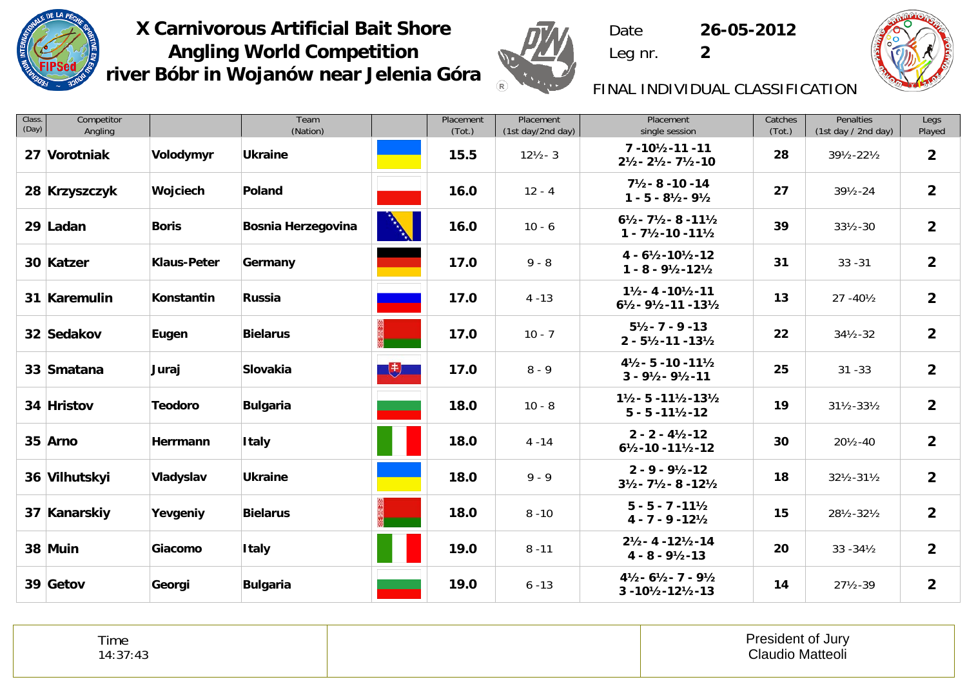



 **26-05-2012** Leg nr. **2**

Date



# FINAL INDIVIDUAL CLASSIFICATION

| Class.<br>(Day) | Competitor<br>Angling |                    | Team<br>(Nation)   |                                                                                                                                                                                                                                                                                                                                                     | Placement<br>(Tot.) | Placement<br>(1st day/2nd day) | Placement<br>single session                                                                   | Catches<br>(Tot.) | Penalties<br>(1st day / 2nd day) | Legs<br>Played |
|-----------------|-----------------------|--------------------|--------------------|-----------------------------------------------------------------------------------------------------------------------------------------------------------------------------------------------------------------------------------------------------------------------------------------------------------------------------------------------------|---------------------|--------------------------------|-----------------------------------------------------------------------------------------------|-------------------|----------------------------------|----------------|
|                 | 27 Vorotniak          | Volodymyr          | <b>Ukraine</b>     |                                                                                                                                                                                                                                                                                                                                                     | 15.5                | $12\frac{1}{2} - 3$            | $7 - 10\frac{1}{2} - 11 - 11$<br>$2\frac{1}{2} - 2\frac{1}{2} - 7\frac{1}{2} - 10$            | 28                | 391/2-221/2                      | $\overline{2}$ |
|                 | 28 Krzyszczyk         | Wojciech           | Poland             |                                                                                                                                                                                                                                                                                                                                                     | 16.0                | $12 - 4$                       | $7\frac{1}{2} - 8 - 10 - 14$<br>$1 - 5 - 8\frac{1}{2} - 9\frac{1}{2}$                         | 27                | $39\frac{1}{2} - 24$             | $\overline{2}$ |
|                 | 29 Ladan              | <b>Boris</b>       | Bosnia Herzegovina |                                                                                                                                                                                                                                                                                                                                                     | 16.0                | $10 - 6$                       | $6\frac{1}{2} - 7\frac{1}{2} - 8 - 11\frac{1}{2}$<br>$1 - 7\frac{1}{2} - 10 - 11\frac{1}{2}$  | 39                | $33\frac{1}{2} - 30$             | $\overline{2}$ |
|                 | 30 Katzer             | <b>Klaus-Peter</b> | Germany            |                                                                                                                                                                                                                                                                                                                                                     | 17.0                | $9 - 8$                        | $4 - 6\frac{1}{2} - 10\frac{1}{2} - 12$<br>$1 - 8 - 9\frac{1}{2} - 12\frac{1}{2}$             | 31                | $33 - 31$                        | $\overline{2}$ |
|                 | 31 Karemulin          | Konstantin         | <b>Russia</b>      |                                                                                                                                                                                                                                                                                                                                                     | 17.0                | $4 - 13$                       | $1\frac{1}{2} - 4 - 10\frac{1}{2} - 11$<br>$6\frac{1}{2} - 9\frac{1}{2} - 11 - 13\frac{1}{2}$ | 13                | $27 - 40\frac{1}{2}$             | $\overline{2}$ |
|                 | 32 Sedakov            | Eugen              | <b>Bielarus</b>    |                                                                                                                                                                                                                                                                                                                                                     | 17.0                | $10 - 7$                       | $5\frac{1}{2} - 7 - 9 - 13$<br>$2 - 5\frac{1}{2} - 11 - 13\frac{1}{2}$                        | 22                | $34\frac{1}{2} - 32$             | $\overline{2}$ |
|                 | 33 Smatana            | Juraj              | Slovakia           | $\begin{picture}(20,20) \put(0,0){\line(1,0){10}} \put(15,0){\line(1,0){10}} \put(15,0){\line(1,0){10}} \put(15,0){\line(1,0){10}} \put(15,0){\line(1,0){10}} \put(15,0){\line(1,0){10}} \put(15,0){\line(1,0){10}} \put(15,0){\line(1,0){10}} \put(15,0){\line(1,0){10}} \put(15,0){\line(1,0){10}} \put(15,0){\line(1,0){10}} \put(15,0){\line(1$ | 17.0                | $8 - 9$                        | $4\frac{1}{2}$ - 5 - 10 - 11 $\frac{1}{2}$<br>$3 - 9\frac{1}{2} - 9\frac{1}{2} - 11$          | 25                | $31 - 33$                        | $\overline{2}$ |
|                 | 34 Hristov            | <b>Teodoro</b>     | <b>Bulgaria</b>    |                                                                                                                                                                                                                                                                                                                                                     | 18.0                | $10 - 8$                       | $1\frac{1}{2}$ - 5 - 11 $\frac{1}{2}$ - 13 $\frac{1}{2}$<br>$5 - 5 - 11\frac{1}{2} - 12$      | 19                | $31\frac{1}{2} - 33\frac{1}{2}$  | $\overline{2}$ |
|                 | 35 Arno               | Herrmann           | <b>Italy</b>       |                                                                                                                                                                                                                                                                                                                                                     | 18.0                | $4 - 14$                       | $2 - 2 - 4\frac{1}{2} - 12$<br>$6\frac{1}{2} - 10 - 11\frac{1}{2} - 12$                       | 30                | 201⁄2-40                         | $\overline{2}$ |
|                 | 36 Vilhutskyi         | Vladyslav          | <b>Ukraine</b>     |                                                                                                                                                                                                                                                                                                                                                     | 18.0                | $9 - 9$                        | $2 - 9 - 9\frac{1}{2} - 12$<br>$3\frac{1}{2} - 7\frac{1}{2} - 8 - 12\frac{1}{2}$              | 18                | 321/2-311/2                      | $\overline{2}$ |
|                 | 37 Kanarskiy          | Yevgeniy           | <b>Bielarus</b>    |                                                                                                                                                                                                                                                                                                                                                     | 18.0                | $8 - 10$                       | $5 - 5 - 7 - 11\frac{1}{2}$<br>$4 - 7 - 9 - 12\frac{1}{2}$                                    | 15                | 281/2-321/2                      | $\overline{2}$ |
|                 | 38 Muin               | Giacomo            | <b>Italy</b>       |                                                                                                                                                                                                                                                                                                                                                     | 19.0                | $8 - 11$                       | $2\frac{1}{2} - 4 - 12\frac{1}{2} - 14$<br>$4 - 8 - 9\frac{1}{2} - 13$                        | 20                | $33 - 34\frac{1}{2}$             | $\overline{2}$ |
|                 | 39 Getov              | Georgi             | <b>Bulgaria</b>    |                                                                                                                                                                                                                                                                                                                                                     | 19.0                | $6 - 13$                       | $4\frac{1}{2} - 6\frac{1}{2} - 7 - 9\frac{1}{2}$<br>3-101/2-121/2-13                          | 14                | $27\frac{1}{2} - 39$             | $\overline{2}$ |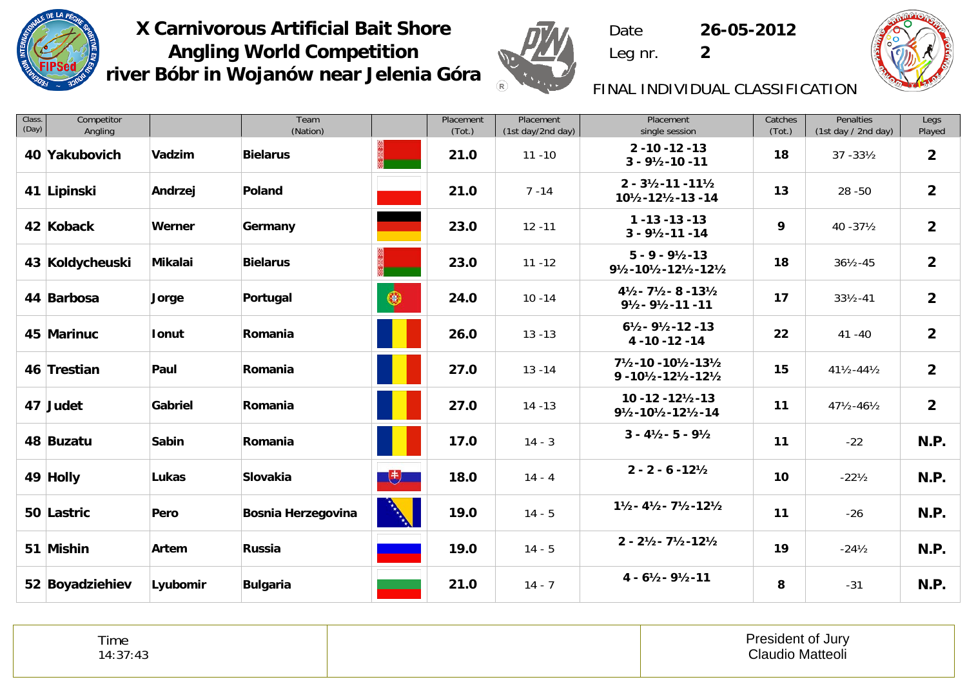



 **26-05-2012** Leg nr. **2**

Date



# FINAL INDIVIDUAL CLASSIFICATION

| Class.<br>(Day) | Competitor<br>Angling |              | Team<br>(Nation)   |              | Placement<br>(Tot.) | Placement<br>(1st day/2nd day) | Placement<br>single session                                                                  | Catches<br>(Tot.) | Penalties<br>(1st day / 2nd day) | Legs<br>Played |
|-----------------|-----------------------|--------------|--------------------|--------------|---------------------|--------------------------------|----------------------------------------------------------------------------------------------|-------------------|----------------------------------|----------------|
|                 | 40 Yakubovich         | Vadzim       | <b>Bielarus</b>    |              | 21.0                | $11 - 10$                      | $2 - 10 - 12 - 13$<br>$3 - 9\frac{1}{2} - 10 - 11$                                           | 18                | $37 - 33\frac{1}{2}$             | $\overline{2}$ |
|                 | 41 Lipinski           | Andrzej      | Poland             |              | 21.0                | $7 - 14$                       | $2 - 3\frac{1}{2} - 11 - 11\frac{1}{2}$<br>101/2-121/2-13 -14                                | 13                | $28 - 50$                        | 2 <sup>2</sup> |
|                 | 42 Koback             | Werner       | Germany            |              | 23.0                | $12 - 11$                      | $1 - 13 - 13 - 13$<br>$3 - 9\frac{1}{2} - 11 - 14$                                           | 9                 | $40 - 37\frac{1}{2}$             | $\overline{2}$ |
|                 | 43 Koldycheuski       | Mikalai      | <b>Bielarus</b>    |              | 23.0                | $11 - 12$                      | $5 - 9 - 9\frac{1}{2} - 13$<br>91/2-101/2-121/2-121/2                                        | 18                | $36\frac{1}{2} - 45$             | $\overline{2}$ |
|                 | 44 Barbosa            | Jorge        | Portugal           | $\bigcirc$   | 24.0                | $10 - 14$                      | $4\frac{1}{2} - 7\frac{1}{2} - 8 - 13\frac{1}{2}$<br>$9\frac{1}{2} - 9\frac{1}{2} - 11 - 11$ | 17                | $33\frac{1}{2} - 41$             | $\overline{2}$ |
|                 | 45 Marinuc            | Ionut        | Romania            |              | 26.0                | $13 - 13$                      | $6\frac{1}{2} - 9\frac{1}{2} - 12 - 13$<br>4 - 10 - 12 - 14                                  | 22                | $41 - 40$                        | $\overline{2}$ |
|                 | 46 Trestian           | Paul         | Romania            |              | 27.0                | $13 - 14$                      | 71/2-10 - 101/2-131/2<br>$9 - 10\frac{1}{2} - 12\frac{1}{2} - 12\frac{1}{2}$                 | 15                | $41\frac{1}{2} - 44\frac{1}{2}$  | $\overline{2}$ |
|                 | 47 Judet              | Gabriel      | Romania            |              | 27.0                | $14 - 13$                      | $10 - 12 - 12\frac{1}{2} - 13$<br>91/2-101/2-121/2-14                                        | 11                | $47\frac{1}{2} - 46\frac{1}{2}$  | $\overline{2}$ |
|                 | 48 Buzatu             | <b>Sabin</b> | Romania            |              | 17.0                | $14 - 3$                       | $3 - 4\frac{1}{2} - 5 - 9\frac{1}{2}$                                                        | 11                | $-22$                            | N.P.           |
|                 | 49 Holly              | Lukas        | Slovakia           | $+$          | 18.0                | $14 - 4$                       | $2 - 2 - 6 - 12\frac{1}{2}$                                                                  | 10                | $-22\frac{1}{2}$                 | N.P.           |
|                 | 50 Lastric            | Pero         | Bosnia Herzegovina | <b>RANCH</b> | 19.0                | $14 - 5$                       | $1\frac{1}{2} - 4\frac{1}{2} - 7\frac{1}{2} - 12\frac{1}{2}$                                 | 11                | $-26$                            | N.P.           |
|                 | 51 Mishin             | Artem        | <b>Russia</b>      |              | 19.0                | $14 - 5$                       | $2 - 2\frac{1}{2} - 7\frac{1}{2} - 12\frac{1}{2}$                                            | 19                | $-24\frac{1}{2}$                 | N.P.           |
|                 | 52 Boyadziehiev       | Lyubomir     | <b>Bulgaria</b>    |              | 21.0                | $14 - 7$                       | $4 - 6\frac{1}{2} - 9\frac{1}{2} - 11$                                                       | 8                 | $-31$                            | N.P.           |